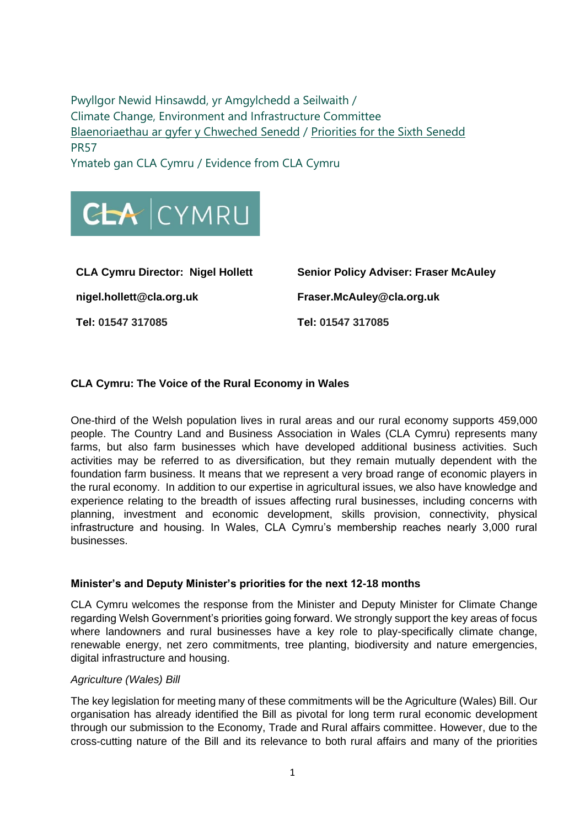Pwyllgor Newid Hinsawdd, yr Amgylchedd a Seilwaith / Climate Change, Environment and Infrastructure Committee [Blaenoriaethau ar gyfer y Chweched Senedd](https://busnes.senedd.cymru/mgConsultationDisplay.aspx?id=427&RPID=1026452002&cp=yes) / Priorities [for the Sixth Senedd](https://business.senedd.wales/mgConsultationDisplay.aspx?id=427&RPID=1026452002&cp=yes) PR57

Ymateb gan CLA Cymru / Evidence from CLA Cymru



**nigel.hollett@cla.org.uk Fraser.McAuley@cla.org.uk Tel: 01547 317085 Tel: 01547 317085**

**CLA Cymru Director: Nigel Hollett Senior Policy Adviser: Fraser McAuley**

# **CLA Cymru: The Voice of the Rural Economy in Wales**

One-third of the Welsh population lives in rural areas and our rural economy supports 459,000 people. The Country Land and Business Association in Wales (CLA Cymru) represents many farms, but also farm businesses which have developed additional business activities. Such activities may be referred to as diversification, but they remain mutually dependent with the foundation farm business. It means that we represent a very broad range of economic players in the rural economy. In addition to our expertise in agricultural issues, we also have knowledge and experience relating to the breadth of issues affecting rural businesses, including concerns with planning, investment and economic development, skills provision, connectivity, physical infrastructure and housing. In Wales, CLA Cymru's membership reaches nearly 3,000 rural businesses.

#### **Minister's and Deputy Minister's priorities for the next 12-18 months**

CLA Cymru welcomes the response from the Minister and Deputy Minister for Climate Change regarding Welsh Government's priorities going forward. We strongly support the key areas of focus where landowners and rural businesses have a key role to play-specifically climate change, renewable energy, net zero commitments, tree planting, biodiversity and nature emergencies, digital infrastructure and housing.

#### *Agriculture (Wales) Bill*

The key legislation for meeting many of these commitments will be the Agriculture (Wales) Bill. Our organisation has already identified the Bill as pivotal for long term rural economic development through our submission to the Economy, Trade and Rural affairs committee. However, due to the cross-cutting nature of the Bill and its relevance to both rural affairs and many of the priorities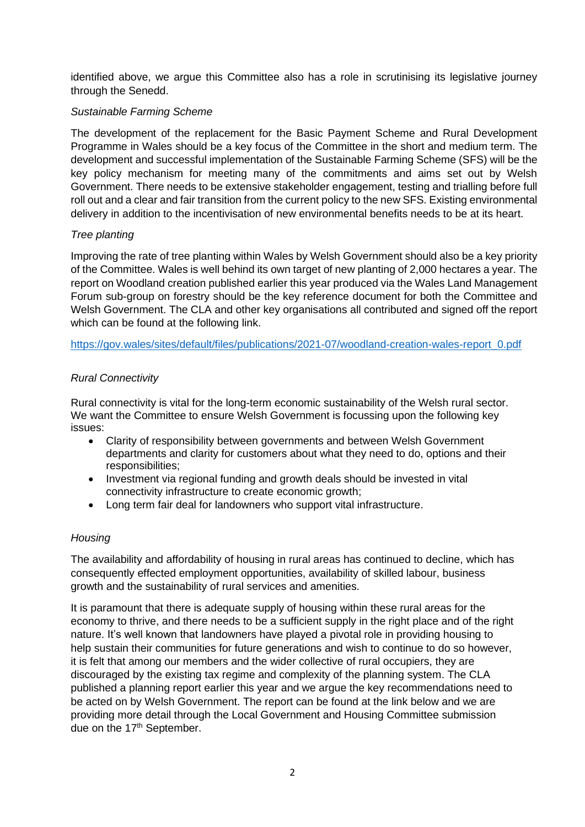identified above, we argue this Committee also has a role in scrutinising its legislative journey through the Senedd.

### *Sustainable Farming Scheme*

The development of the replacement for the Basic Payment Scheme and Rural Development Programme in Wales should be a key focus of the Committee in the short and medium term. The development and successful implementation of the Sustainable Farming Scheme (SFS) will be the key policy mechanism for meeting many of the commitments and aims set out by Welsh Government. There needs to be extensive stakeholder engagement, testing and trialling before full roll out and a clear and fair transition from the current policy to the new SFS. Existing environmental delivery in addition to the incentivisation of new environmental benefits needs to be at its heart.

# *Tree planting*

Improving the rate of tree planting within Wales by Welsh Government should also be a key priority of the Committee. Wales is well behind its own target of new planting of 2,000 hectares a year. The report on Woodland creation published earlier this year produced via the Wales Land Management Forum sub-group on forestry should be the key reference document for both the Committee and Welsh Government. The CLA and other key organisations all contributed and signed off the report which can be found at the following link.

[https://gov.wales/sites/default/files/publications/2021-07/woodland-creation-wales-report\\_0.pdf](https://gov.wales/sites/default/files/publications/2021-07/woodland-creation-wales-report_0.pdf)

# *Rural Connectivity*

Rural connectivity is vital for the long-term economic sustainability of the Welsh rural sector. We want the Committee to ensure Welsh Government is focussing upon the following key issues:

- Clarity of responsibility between governments and between Welsh Government departments and clarity for customers about what they need to do, options and their responsibilities;
- Investment via regional funding and growth deals should be invested in vital connectivity infrastructure to create economic growth;
- Long term fair deal for landowners who support vital infrastructure.

#### *Housing*

The availability and affordability of housing in rural areas has continued to decline, which has consequently effected employment opportunities, availability of skilled labour, business growth and the sustainability of rural services and amenities.

It is paramount that there is adequate supply of housing within these rural areas for the economy to thrive, and there needs to be a sufficient supply in the right place and of the right nature. It's well known that landowners have played a pivotal role in providing housing to help sustain their communities for future generations and wish to continue to do so however, it is felt that among our members and the wider collective of rural occupiers, they are discouraged by the existing tax regime and complexity of the planning system. The CLA published a planning report earlier this year and we argue the key recommendations need to be acted on by Welsh Government. The report can be found at the link below and we are providing more detail through the Local Government and Housing Committee submission due on the 17<sup>th</sup> September.